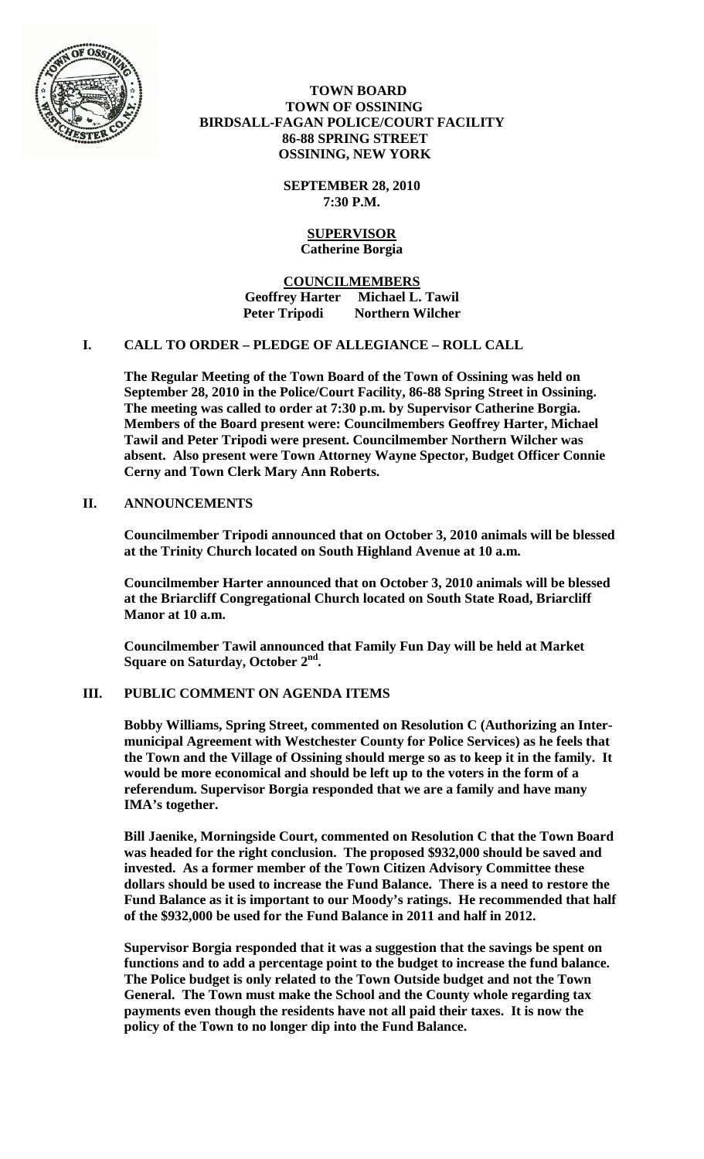

### **TOWN BOARD TOWN OF OSSINING BIRDSALL-FAGAN POLICE/COURT FACILITY 86-88 SPRING STREET OSSINING, NEW YORK**

**SEPTEMBER 28, 2010 7:30 P.M.**

### **SUPERVISOR Catherine Borgia**

**COUNCILMEMBERS Geoffrey Harter Michael L. Tawil Peter Tripodi Northern Wilcher**

## **I. CALL TO ORDER – PLEDGE OF ALLEGIANCE – ROLL CALL**

**The Regular Meeting of the Town Board of the Town of Ossining was held on September 28, 2010 in the Police/Court Facility, 86-88 Spring Street in Ossining. The meeting was called to order at 7:30 p.m. by Supervisor Catherine Borgia. Members of the Board present were: Councilmembers Geoffrey Harter, Michael Tawil and Peter Tripodi were present. Councilmember Northern Wilcher was absent. Also present were Town Attorney Wayne Spector, Budget Officer Connie Cerny and Town Clerk Mary Ann Roberts.**

### **II. ANNOUNCEMENTS**

**Councilmember Tripodi announced that on October 3, 2010 animals will be blessed at the Trinity Church located on South Highland Avenue at 10 a.m.**

**Councilmember Harter announced that on October 3, 2010 animals will be blessed at the Briarcliff Congregational Church located on South State Road, Briarcliff Manor at 10 a.m.**

**Councilmember Tawil announced that Family Fun Day will be held at Market Square on Saturday, October 2nd.**

### **III. PUBLIC COMMENT ON AGENDA ITEMS**

**Bobby Williams, Spring Street, commented on Resolution C (Authorizing an Intermunicipal Agreement with Westchester County for Police Services) as he feels that the Town and the Village of Ossining should merge so as to keep it in the family. It would be more economical and should be left up to the voters in the form of a referendum. Supervisor Borgia responded that we are a family and have many IMA's together.**

**Bill Jaenike, Morningside Court, commented on Resolution C that the Town Board was headed for the right conclusion. The proposed \$932,000 should be saved and invested. As a former member of the Town Citizen Advisory Committee these dollars should be used to increase the Fund Balance. There is a need to restore the Fund Balance as it is important to our Moody's ratings. He recommended that half of the \$932,000 be used for the Fund Balance in 2011 and half in 2012.**

**Supervisor Borgia responded that it was a suggestion that the savings be spent on functions and to add a percentage point to the budget to increase the fund balance. The Police budget is only related to the Town Outside budget and not the Town General. The Town must make the School and the County whole regarding tax payments even though the residents have not all paid their taxes. It is now the policy of the Town to no longer dip into the Fund Balance.**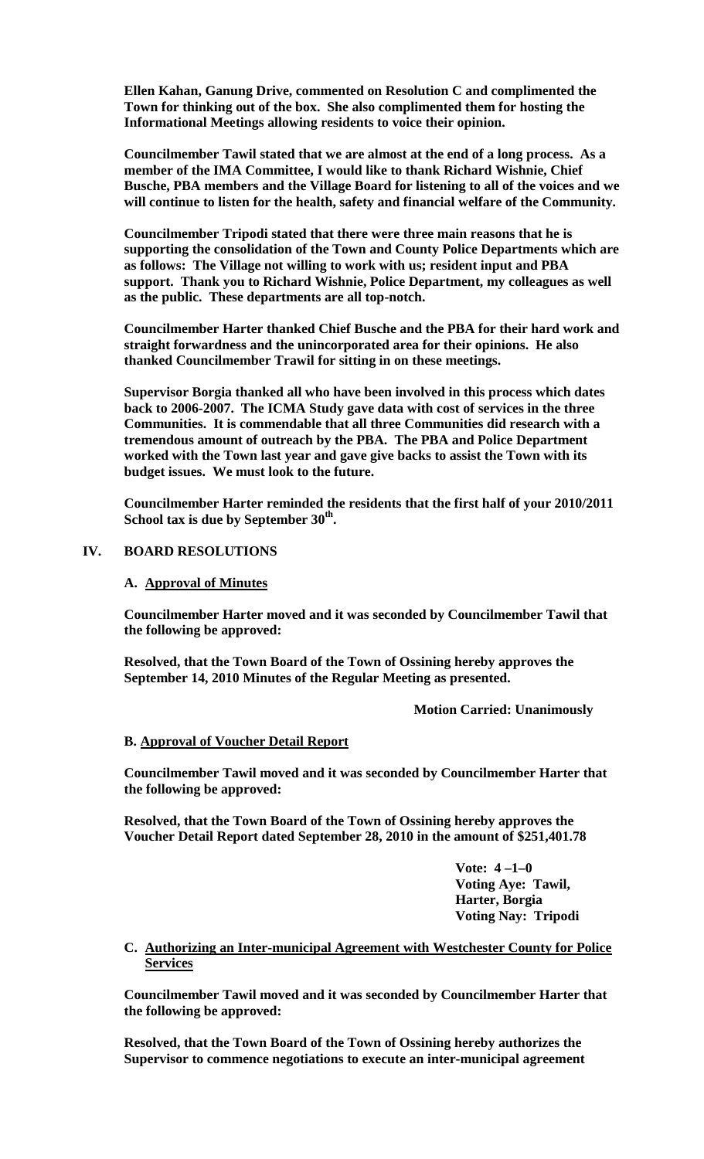**Ellen Kahan, Ganung Drive, commented on Resolution C and complimented the Town for thinking out of the box. She also complimented them for hosting the Informational Meetings allowing residents to voice their opinion.** 

**Councilmember Tawil stated that we are almost at the end of a long process. As a member of the IMA Committee, I would like to thank Richard Wishnie, Chief Busche, PBA members and the Village Board for listening to all of the voices and we will continue to listen for the health, safety and financial welfare of the Community.**

**Councilmember Tripodi stated that there were three main reasons that he is supporting the consolidation of the Town and County Police Departments which are as follows: The Village not willing to work with us; resident input and PBA support. Thank you to Richard Wishnie, Police Department, my colleagues as well as the public. These departments are all top-notch.**

**Councilmember Harter thanked Chief Busche and the PBA for their hard work and straight forwardness and the unincorporated area for their opinions. He also thanked Councilmember Trawil for sitting in on these meetings.**

**Supervisor Borgia thanked all who have been involved in this process which dates back to 2006-2007. The ICMA Study gave data with cost of services in the three Communities. It is commendable that all three Communities did research with a tremendous amount of outreach by the PBA. The PBA and Police Department worked with the Town last year and gave give backs to assist the Town with its budget issues. We must look to the future.**

**Councilmember Harter reminded the residents that the first half of your 2010/2011 School tax is due by September 30th.**

### **IV. BOARD RESOLUTIONS**

#### **A. Approval of Minutes**

**Councilmember Harter moved and it was seconded by Councilmember Tawil that the following be approved:**

**Resolved, that the Town Board of the Town of Ossining hereby approves the September 14, 2010 Minutes of the Regular Meeting as presented.**

**Motion Carried: Unanimously**

#### **B. Approval of Voucher Detail Report**

**Councilmember Tawil moved and it was seconded by Councilmember Harter that the following be approved:**

**Resolved, that the Town Board of the Town of Ossining hereby approves the Voucher Detail Report dated September 28, 2010 in the amount of \$251,401.78**

> **Vote: 4 –1–0 Voting Aye: Tawil, Harter, Borgia Voting Nay: Tripodi**

#### **C. Authorizing an Inter-municipal Agreement with Westchester County for Police Services**

**Councilmember Tawil moved and it was seconded by Councilmember Harter that the following be approved:**

**Resolved, that the Town Board of the Town of Ossining hereby authorizes the Supervisor to commence negotiations to execute an inter-municipal agreement**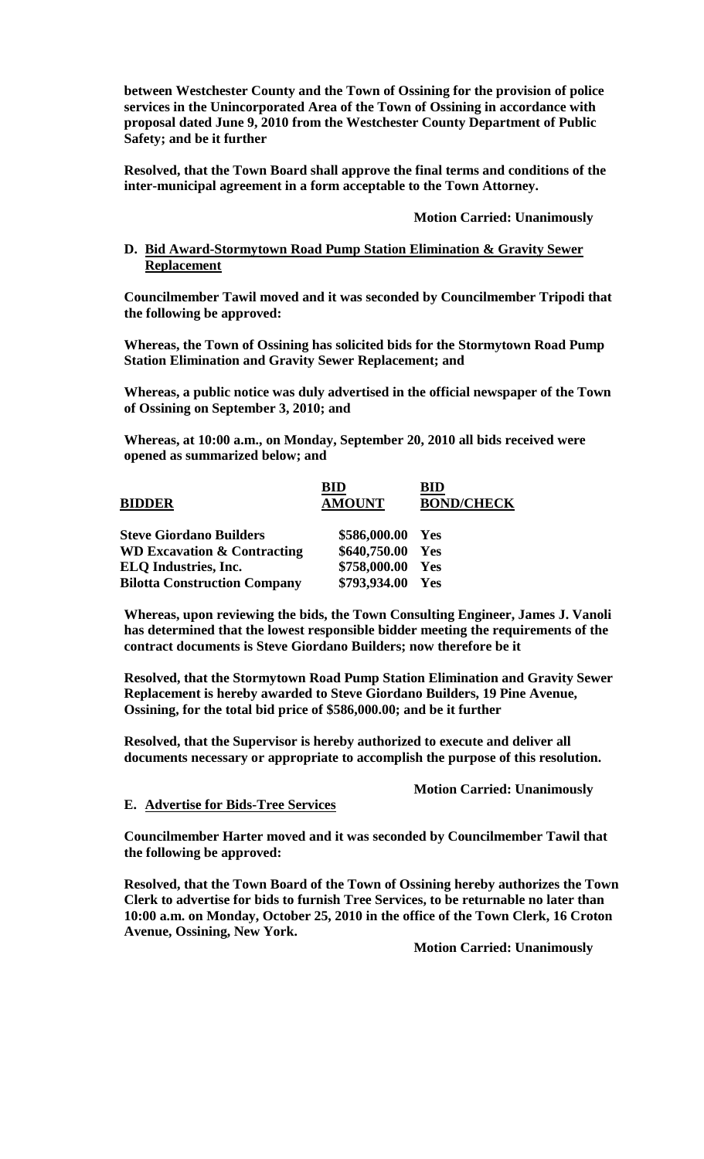**between Westchester County and the Town of Ossining for the provision of police services in the Unincorporated Area of the Town of Ossining in accordance with proposal dated June 9, 2010 from the Westchester County Department of Public Safety; and be it further**

**Resolved, that the Town Board shall approve the final terms and conditions of the inter-municipal agreement in a form acceptable to the Town Attorney.**

**Motion Carried: Unanimously**

#### **D. Bid Award-Stormytown Road Pump Station Elimination & Gravity Sewer Replacement**

**Councilmember Tawil moved and it was seconded by Councilmember Tripodi that the following be approved:**

**Whereas, the Town of Ossining has solicited bids for the Stormytown Road Pump Station Elimination and Gravity Sewer Replacement; and**

**Whereas, a public notice was duly advertised in the official newspaper of the Town of Ossining on September 3, 2010; and**

**Whereas, at 10:00 a.m., on Monday, September 20, 2010 all bids received were opened as summarized below; and**

| <b>BIDDER</b>                          | <b>BID</b><br><b>AMOUNT</b> | BID<br><b>BOND/CHECK</b> |
|----------------------------------------|-----------------------------|--------------------------|
| <b>Steve Giordano Builders</b>         | \$586,000.00 Yes            |                          |
| <b>WD Excavation &amp; Contracting</b> | \$640,750.00 Yes            |                          |
| <b>ELO</b> Industries, Inc.            | \$758,000.00 Yes            |                          |
| <b>Bilotta Construction Company</b>    | \$793,934.00                | Yes                      |

**Whereas, upon reviewing the bids, the Town Consulting Engineer, James J. Vanoli has determined that the lowest responsible bidder meeting the requirements of the contract documents is Steve Giordano Builders; now therefore be it**

**Resolved, that the Stormytown Road Pump Station Elimination and Gravity Sewer Replacement is hereby awarded to Steve Giordano Builders, 19 Pine Avenue, Ossining, for the total bid price of \$586,000.00; and be it further**

**Resolved, that the Supervisor is hereby authorized to execute and deliver all documents necessary or appropriate to accomplish the purpose of this resolution.**

#### **Motion Carried: Unanimously**

## **E. Advertise for Bids-Tree Services**

**Councilmember Harter moved and it was seconded by Councilmember Tawil that the following be approved:**

**Resolved, that the Town Board of the Town of Ossining hereby authorizes the Town Clerk to advertise for bids to furnish Tree Services, to be returnable no later than 10:00 a.m. on Monday, October 25, 2010 in the office of the Town Clerk, 16 Croton Avenue, Ossining, New York.**

**Motion Carried: Unanimously**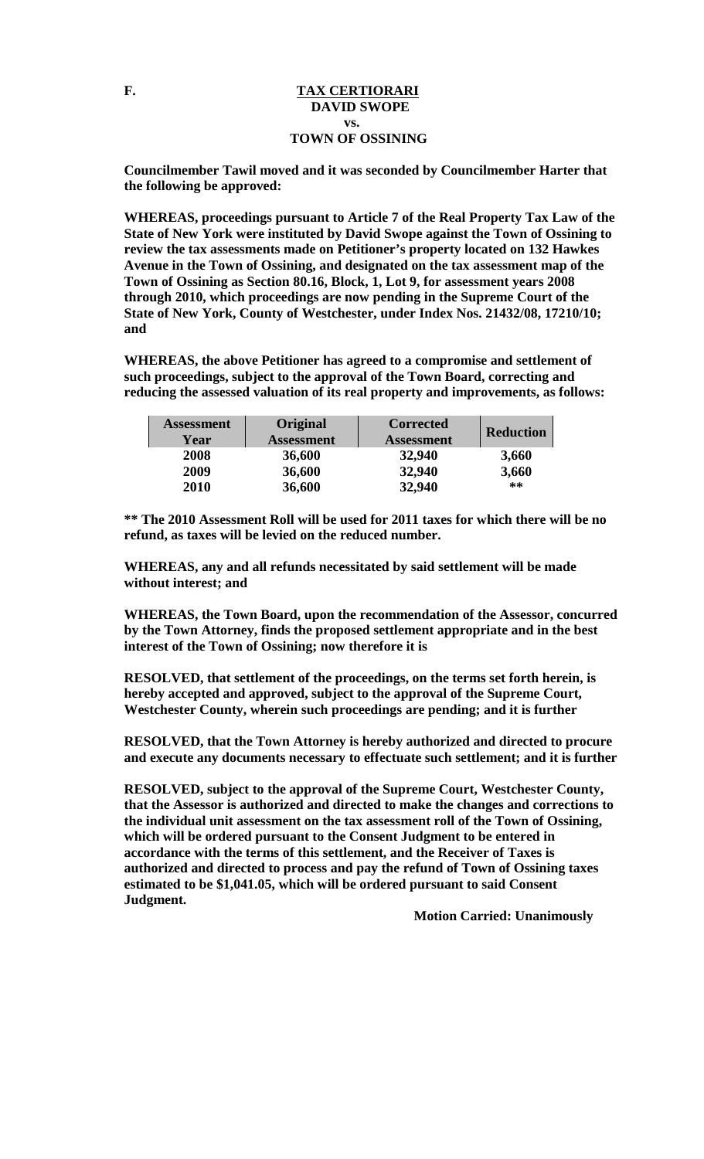#### F. TAX CERTIORARI  **DAVID SWOPE vs. TOWN OF OSSINING**

**Councilmember Tawil moved and it was seconded by Councilmember Harter that the following be approved:**

**WHEREAS, proceedings pursuant to Article 7 of the Real Property Tax Law of the State of New York were instituted by David Swope against the Town of Ossining to review the tax assessments made on Petitioner's property located on 132 Hawkes Avenue in the Town of Ossining, and designated on the tax assessment map of the Town of Ossining as Section 80.16, Block, 1, Lot 9, for assessment years 2008 through 2010, which proceedings are now pending in the Supreme Court of the State of New York, County of Westchester, under Index Nos. 21432/08, 17210/10; and** 

**WHEREAS, the above Petitioner has agreed to a compromise and settlement of such proceedings, subject to the approval of the Town Board, correcting and reducing the assessed valuation of its real property and improvements, as follows:** 

| <b>Assessment</b><br>Year | Original<br><b>Assessment</b> | <b>Corrected</b><br><b>Assessment</b> | <b>Reduction</b> |
|---------------------------|-------------------------------|---------------------------------------|------------------|
| 2008                      | 36,600                        | 32,940                                | 3,660            |
| 2009                      | 36,600                        | 32,940                                | 3,660            |
| 2010                      | 36,600                        | 32,940                                | $***$            |

**\*\* The 2010 Assessment Roll will be used for 2011 taxes for which there will be no refund, as taxes will be levied on the reduced number.**

**WHEREAS, any and all refunds necessitated by said settlement will be made without interest; and** 

**WHEREAS, the Town Board, upon the recommendation of the Assessor, concurred by the Town Attorney, finds the proposed settlement appropriate and in the best interest of the Town of Ossining; now therefore it is** 

**RESOLVED, that settlement of the proceedings, on the terms set forth herein, is hereby accepted and approved, subject to the approval of the Supreme Court, Westchester County, wherein such proceedings are pending; and it is further** 

**RESOLVED, that the Town Attorney is hereby authorized and directed to procure and execute any documents necessary to effectuate such settlement; and it is further** 

**RESOLVED, subject to the approval of the Supreme Court, Westchester County, that the Assessor is authorized and directed to make the changes and corrections to the individual unit assessment on the tax assessment roll of the Town of Ossining, which will be ordered pursuant to the Consent Judgment to be entered in accordance with the terms of this settlement, and the Receiver of Taxes is authorized and directed to process and pay the refund of Town of Ossining taxes estimated to be \$1,041.05, which will be ordered pursuant to said Consent Judgment.**

**Motion Carried: Unanimously**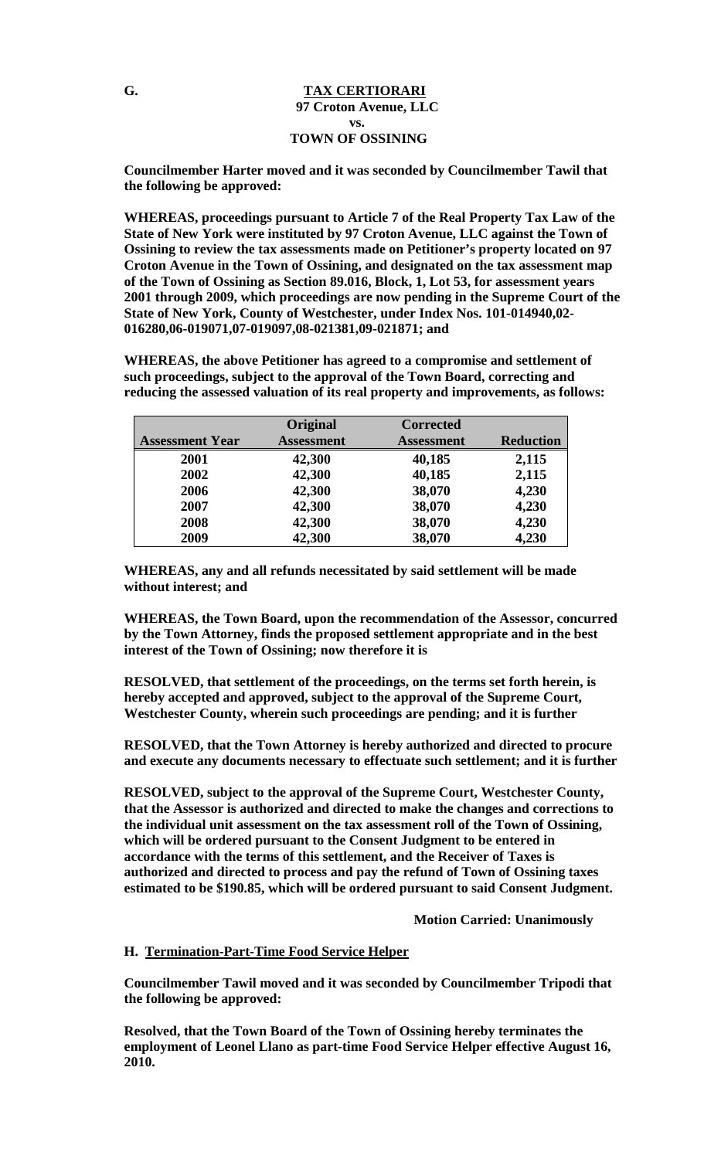#### **G. TAX CERTIORARI 97 Croton Avenue, LLC vs. TOWN OF OSSINING**

**Councilmember Harter moved and it was seconded by Councilmember Tawil that the following be approved:**

**WHEREAS, proceedings pursuant to Article 7 of the Real Property Tax Law of the State of New York were instituted by 97 Croton Avenue, LLC against the Town of Ossining to review the tax assessments made on Petitioner's property located on 97 Croton Avenue in the Town of Ossining, and designated on the tax assessment map of the Town of Ossining as Section 89.016, Block, 1, Lot 53, for assessment years 2001 through 2009, which proceedings are now pending in the Supreme Court of the State of New York, County of Westchester, under Index Nos. 101-014940,02- 016280,06-019071,07-019097,08-021381,09-021871; and** 

**WHEREAS, the above Petitioner has agreed to a compromise and settlement of such proceedings, subject to the approval of the Town Board, correcting and reducing the assessed valuation of its real property and improvements, as follows:** 

| <b>Assessment Year</b> | Original<br><b>Assessment</b> | <b>Corrected</b><br><b>Assessment</b> | <b>Reduction</b> |
|------------------------|-------------------------------|---------------------------------------|------------------|
| 2001                   | 42,300                        | 40,185                                | 2,115            |
| 2002                   | 42,300                        | 40,185                                | 2,115            |
| 2006                   | 42,300                        | 38,070                                | 4,230            |
| 2007                   | 42,300                        | 38,070                                | 4,230            |
| 2008                   | 42,300                        | 38,070                                | 4,230            |
| 2009                   | 42,300                        | 38,070                                | 4,230            |

**WHEREAS, any and all refunds necessitated by said settlement will be made without interest; and** 

**WHEREAS, the Town Board, upon the recommendation of the Assessor, concurred by the Town Attorney, finds the proposed settlement appropriate and in the best interest of the Town of Ossining; now therefore it is** 

**RESOLVED, that settlement of the proceedings, on the terms set forth herein, is hereby accepted and approved, subject to the approval of the Supreme Court, Westchester County, wherein such proceedings are pending; and it is further** 

**RESOLVED, that the Town Attorney is hereby authorized and directed to procure and execute any documents necessary to effectuate such settlement; and it is further** 

**RESOLVED, subject to the approval of the Supreme Court, Westchester County, that the Assessor is authorized and directed to make the changes and corrections to the individual unit assessment on the tax assessment roll of the Town of Ossining, which will be ordered pursuant to the Consent Judgment to be entered in accordance with the terms of this settlement, and the Receiver of Taxes is authorized and directed to process and pay the refund of Town of Ossining taxes estimated to be \$190.85, which will be ordered pursuant to said Consent Judgment.**

**Motion Carried: Unanimously**

### **H. Termination-Part-Time Food Service Helper**

**Councilmember Tawil moved and it was seconded by Councilmember Tripodi that the following be approved:**

**Resolved, that the Town Board of the Town of Ossining hereby terminates the employment of Leonel Llano as part-time Food Service Helper effective August 16, 2010.**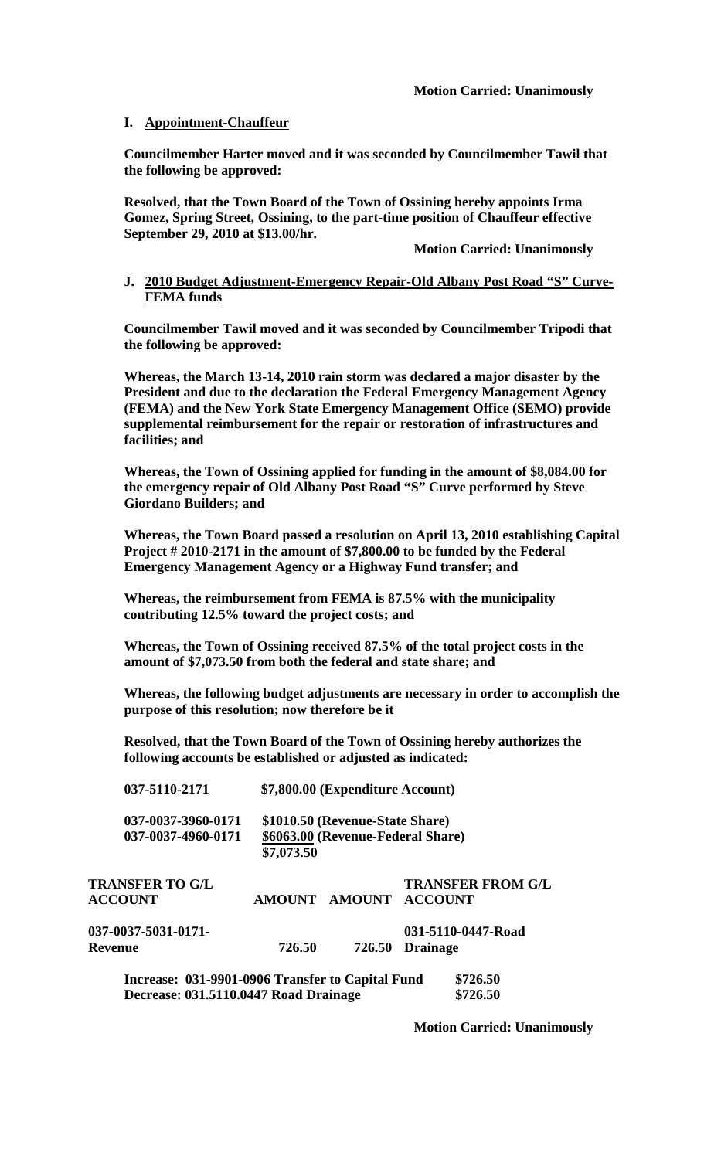### **I. Appointment-Chauffeur**

**Councilmember Harter moved and it was seconded by Councilmember Tawil that the following be approved:**

**Resolved, that the Town Board of the Town of Ossining hereby appoints Irma Gomez, Spring Street, Ossining, to the part-time position of Chauffeur effective September 29, 2010 at \$13.00/hr.**

**Motion Carried: Unanimously**

### **J. 2010 Budget Adjustment-Emergency Repair-Old Albany Post Road "S" Curve-FEMA funds**

**Councilmember Tawil moved and it was seconded by Councilmember Tripodi that the following be approved:**

**Whereas, the March 13-14, 2010 rain storm was declared a major disaster by the President and due to the declaration the Federal Emergency Management Agency (FEMA) and the New York State Emergency Management Office (SEMO) provide supplemental reimbursement for the repair or restoration of infrastructures and facilities; and** 

**Whereas, the Town of Ossining applied for funding in the amount of \$8,084.00 for the emergency repair of Old Albany Post Road "S" Curve performed by Steve Giordano Builders; and**

**Whereas, the Town Board passed a resolution on April 13, 2010 establishing Capital Project # 2010-2171 in the amount of \$7,800.00 to be funded by the Federal Emergency Management Agency or a Highway Fund transfer; and**

**Whereas, the reimbursement from FEMA is 87.5% with the municipality contributing 12.5% toward the project costs; and**

**Whereas, the Town of Ossining received 87.5% of the total project costs in the amount of \$7,073.50 from both the federal and state share; and**

**Whereas, the following budget adjustments are necessary in order to accomplish the purpose of this resolution; now therefore be it**

**Resolved, that the Town Board of the Town of Ossining hereby authorizes the following accounts be established or adjusted as indicated:**

| 037-5110-2171                            | \$7,800.00 (Expenditure Account)                                     |        |                                                   |  |
|------------------------------------------|----------------------------------------------------------------------|--------|---------------------------------------------------|--|
| 037-0037-3960-0171<br>037-0037-4960-0171 | \$1010.50 (Revenue-State Share)<br>\$6063.00 (Revenue-Federal Share) |        |                                                   |  |
|                                          | \$7,073.50                                                           |        |                                                   |  |
| <b>TRANSFER TO G/L</b><br><b>ACCOUNT</b> |                                                                      |        | <b>TRANSFER FROM G/L</b><br>AMOUNT AMOUNT ACCOUNT |  |
| 037-0037-5031-0171-                      |                                                                      |        | 031-5110-0447-Road                                |  |
| Revenue                                  | 726.50                                                               | 726.50 | <b>Drainage</b>                                   |  |
|                                          |                                                                      |        |                                                   |  |

**Increase: 031-9901-0906 Transfer to Capital Fund \$726.50 Decrease: 031.5110.0447 Road Drainage \$726.50**

**Motion Carried: Unanimously**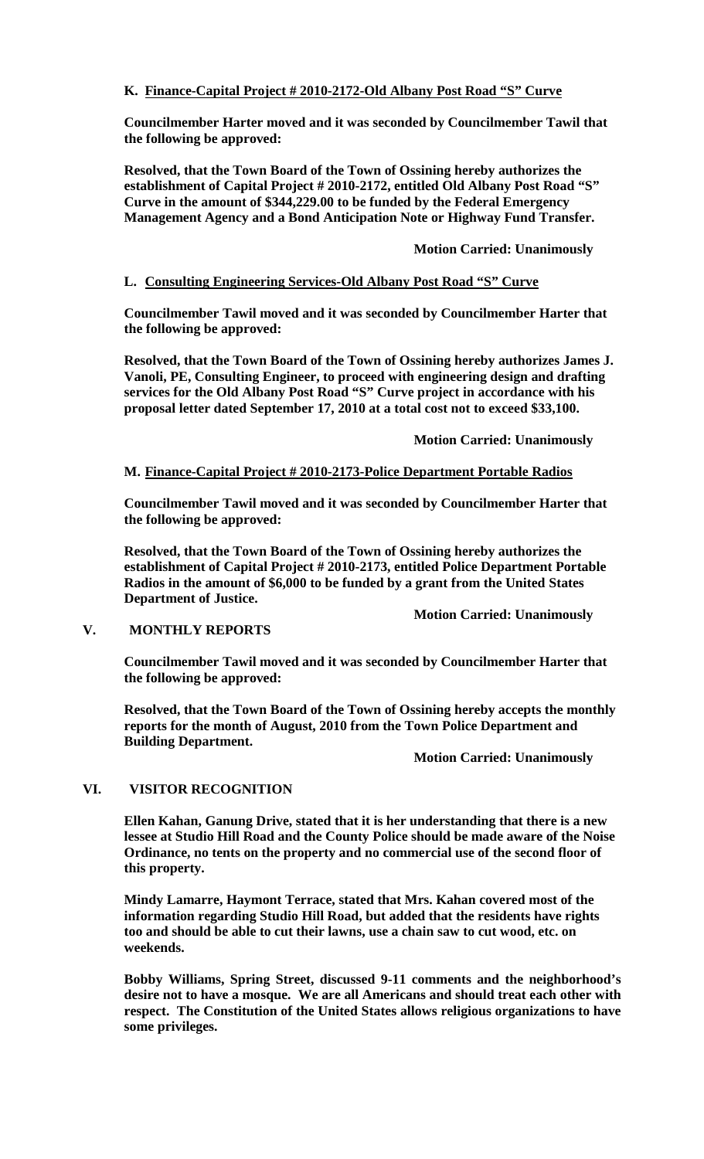## **K. Finance-Capital Project # 2010-2172-Old Albany Post Road "S" Curve**

**Councilmember Harter moved and it was seconded by Councilmember Tawil that the following be approved:**

**Resolved, that the Town Board of the Town of Ossining hereby authorizes the establishment of Capital Project # 2010-2172, entitled Old Albany Post Road "S" Curve in the amount of \$344,229.00 to be funded by the Federal Emergency Management Agency and a Bond Anticipation Note or Highway Fund Transfer.** 

## **Motion Carried: Unanimously**

## **L. Consulting Engineering Services-Old Albany Post Road "S" Curve**

**Councilmember Tawil moved and it was seconded by Councilmember Harter that the following be approved:**

**Resolved, that the Town Board of the Town of Ossining hereby authorizes James J. Vanoli, PE, Consulting Engineer, to proceed with engineering design and drafting services for the Old Albany Post Road "S" Curve project in accordance with his proposal letter dated September 17, 2010 at a total cost not to exceed \$33,100.**

**Motion Carried: Unanimously**

## **M. Finance-Capital Project # 2010-2173-Police Department Portable Radios**

**Councilmember Tawil moved and it was seconded by Councilmember Harter that the following be approved:**

**Resolved, that the Town Board of the Town of Ossining hereby authorizes the establishment of Capital Project # 2010-2173, entitled Police Department Portable Radios in the amount of \$6,000 to be funded by a grant from the United States Department of Justice.**

### **V. MONTHLY REPORTS**

**Councilmember Tawil moved and it was seconded by Councilmember Harter that the following be approved:**

**Resolved, that the Town Board of the Town of Ossining hereby accepts the monthly reports for the month of August, 2010 from the Town Police Department and Building Department.**

**Motion Carried: Unanimously**

**Motion Carried: Unanimously**

# **VI. VISITOR RECOGNITION**

**Ellen Kahan, Ganung Drive, stated that it is her understanding that there is a new lessee at Studio Hill Road and the County Police should be made aware of the Noise Ordinance, no tents on the property and no commercial use of the second floor of this property.** 

**Mindy Lamarre, Haymont Terrace, stated that Mrs. Kahan covered most of the information regarding Studio Hill Road, but added that the residents have rights too and should be able to cut their lawns, use a chain saw to cut wood, etc. on weekends.**

**Bobby Williams, Spring Street, discussed 9-11 comments and the neighborhood's desire not to have a mosque. We are all Americans and should treat each other with respect. The Constitution of the United States allows religious organizations to have some privileges.**